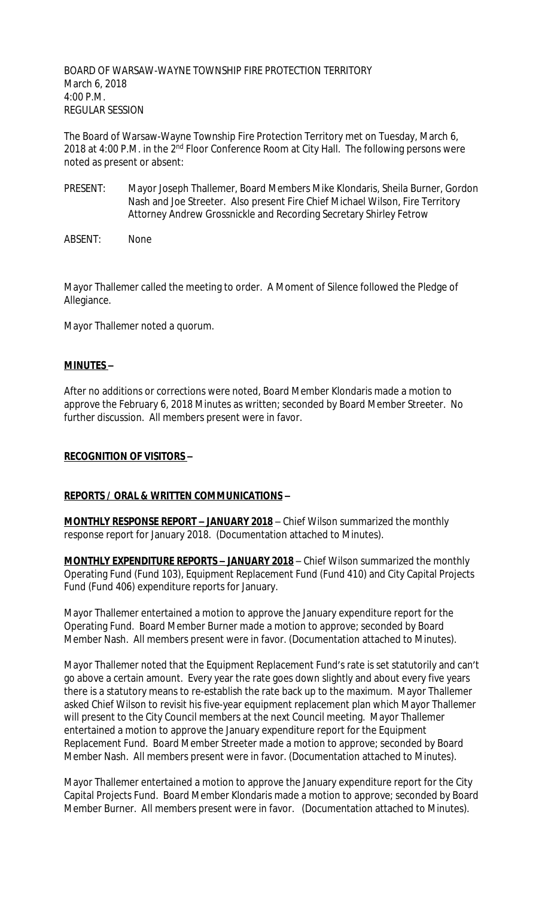BOARD OF WARSAW-WAYNE TOWNSHIP FIRE PROTECTION TERRITORY March 6, 2018 4:00 P.M. REGULAR SESSION

The Board of Warsaw-Wayne Township Fire Protection Territory met on Tuesday, March 6, 2018 at 4:00 P.M. in the 2<sup>nd</sup> Floor Conference Room at City Hall. The following persons were noted as present or absent:

PRESENT: Mayor Joseph Thallemer, Board Members Mike Klondaris, Sheila Burner, Gordon Nash and Joe Streeter. Also present Fire Chief Michael Wilson, Fire Territory Attorney Andrew Grossnickle and Recording Secretary Shirley Fetrow

ABSENT: None

Mayor Thallemer called the meeting to order. A Moment of Silence followed the Pledge of Allegiance.

Mayor Thallemer noted a quorum.

## **MINUTES –**

After no additions or corrections were noted, Board Member Klondaris made a motion to approve the February 6, 2018 Minutes as written; seconded by Board Member Streeter. No further discussion. All members present were in favor.

### **RECOGNITION OF VISITORS –**

### **REPORTS / ORAL & WRITTEN COMMUNICATIONS –**

**MONTHLY RESPONSE REPORT – JANUARY 2018** – Chief Wilson summarized the monthly response report for January 2018. (Documentation attached to Minutes).

**MONTHLY EXPENDITURE REPORTS – JANUARY 2018** – Chief Wilson summarized the monthly Operating Fund (Fund 103), Equipment Replacement Fund (Fund 410) and City Capital Projects Fund (Fund 406) expenditure reports for January.

Mayor Thallemer entertained a motion to approve the January expenditure report for the Operating Fund. Board Member Burner made a motion to approve; seconded by Board Member Nash. All members present were in favor. (Documentation attached to Minutes).

Mayor Thallemer noted that the Equipment Replacement Fund's rate is set statutorily and can't go above a certain amount. Every year the rate goes down slightly and about every five years there is a statutory means to re-establish the rate back up to the maximum. Mayor Thallemer asked Chief Wilson to revisit his five-year equipment replacement plan which Mayor Thallemer will present to the City Council members at the next Council meeting. Mayor Thallemer entertained a motion to approve the January expenditure report for the Equipment Replacement Fund. Board Member Streeter made a motion to approve; seconded by Board Member Nash. All members present were in favor. (Documentation attached to Minutes).

Mayor Thallemer entertained a motion to approve the January expenditure report for the City Capital Projects Fund. Board Member Klondaris made a motion to approve; seconded by Board Member Burner. All members present were in favor. (Documentation attached to Minutes).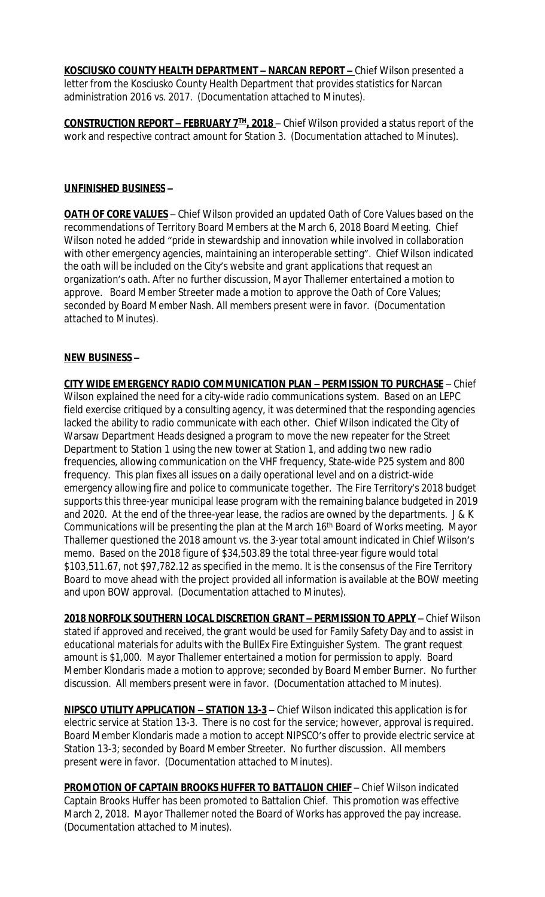**KOSCIUSKO COUNTY HEALTH DEPARTMENT – NARCAN REPORT –** Chief Wilson presented a letter from the Kosciusko County Health Department that provides statistics for Narcan administration 2016 vs. 2017. (Documentation attached to Minutes).

**CONSTRUCTION REPORT – FEBRUARY 7TH, 2018** – Chief Wilson provided a status report of the work and respective contract amount for Station 3. (Documentation attached to Minutes).

#### **UNFINISHED BUSINESS –**

**OATH OF CORE VALUES** – Chief Wilson provided an updated Oath of Core Values based on the recommendations of Territory Board Members at the March 6, 2018 Board Meeting. Chief Wilson noted he added "pride in stewardship and innovation while involved in collaboration with other emergency agencies, maintaining an interoperable setting". Chief Wilson indicated the oath will be included on the City's website and grant applications that request an organization's oath. After no further discussion, Mayor Thallemer entertained a motion to approve. Board Member Streeter made a motion to approve the Oath of Core Values; seconded by Board Member Nash. All members present were in favor. (Documentation attached to Minutes).

### **NEW BUSINESS –**

**CITY WIDE EMERGENCY RADIO COMMUNICATION PLAN – PERMISSION TO PURCHASE** – Chief Wilson explained the need for a city-wide radio communications system. Based on an LEPC field exercise critiqued by a consulting agency, it was determined that the responding agencies lacked the ability to radio communicate with each other. Chief Wilson indicated the City of Warsaw Department Heads designed a program to move the new repeater for the Street Department to Station 1 using the new tower at Station 1, and adding two new radio frequencies, allowing communication on the VHF frequency, State-wide P25 system and 800 frequency. This plan fixes all issues on a daily operational level and on a district-wide emergency allowing fire and police to communicate together. The Fire Territory's 2018 budget supports this three-year municipal lease program with the remaining balance budgeted in 2019 and 2020. At the end of the three-year lease, the radios are owned by the departments. J & K Communications will be presenting the plan at the March 16th Board of Works meeting. Mayor Thallemer questioned the 2018 amount vs. the 3-year total amount indicated in Chief Wilson's memo. Based on the 2018 figure of \$34,503.89 the total three-year figure would total \$103,511.67, not \$97,782.12 as specified in the memo. It is the consensus of the Fire Territory Board to move ahead with the project provided all information is available at the BOW meeting and upon BOW approval. (Documentation attached to Minutes).

**2018 NORFOLK SOUTHERN LOCAL DISCRETION GRANT – PERMISSION TO APPLY** – Chief Wilson stated if approved and received, the grant would be used for Family Safety Day and to assist in educational materials for adults with the BullEx Fire Extinguisher System. The grant request amount is \$1,000. Mayor Thallemer entertained a motion for permission to apply. Board Member Klondaris made a motion to approve; seconded by Board Member Burner. No further discussion. All members present were in favor. (Documentation attached to Minutes).

**NIPSCO UTILITY APPLICATION – STATION 13-3 –** Chief Wilson indicated this application is for electric service at Station 13-3. There is no cost for the service; however, approval is required. Board Member Klondaris made a motion to accept NIPSCO's offer to provide electric service at Station 13-3; seconded by Board Member Streeter. No further discussion. All members present were in favor. (Documentation attached to Minutes).

**PROMOTION OF CAPTAIN BROOKS HUFFER TO BATTALION CHIEF** - Chief Wilson indicated Captain Brooks Huffer has been promoted to Battalion Chief. This promotion was effective March 2, 2018. Mayor Thallemer noted the Board of Works has approved the pay increase. (Documentation attached to Minutes).